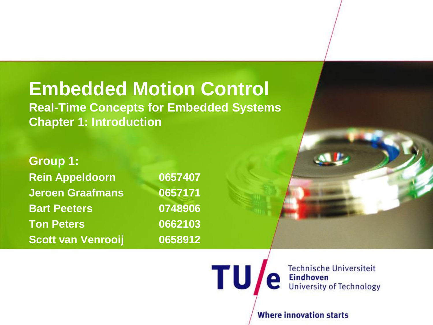### **Embedded Motion Control**

**Real-Time Concepts for Embedded Systems Chapter 1: Introduction**

**Group 1: Rein Appeldoorn 0657407 Jeroen Graafmans 0657171 Bart Peeters 0748906 Ton Peters 0662103 Scott van Venrooij 0658912**

**TU** 

**Technische Universiteit Eindhoven University of Technology** 

**Where innovation starts**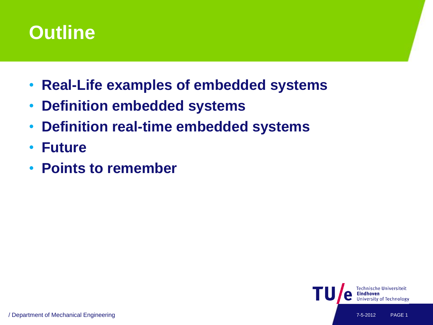

- **Real-Life examples of embedded systems**
- **Definition embedded systems**
- **Definition real-time embedded systems**
- **Future**
- **Points to remember**

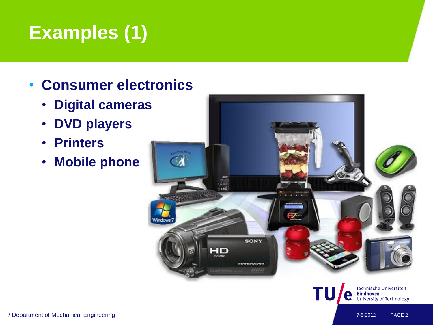# **Examples (1)**

### • **Consumer electronics**

- **Digital cameras**
- **DVD players**
- **Printers**
- **Mobile phone**



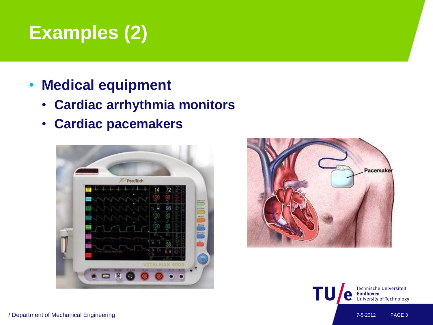## **Examples (2)**

- **Medical equipment**
	- **Cardiac arrhythmia monitors**
	- **Cardiac pacemakers**





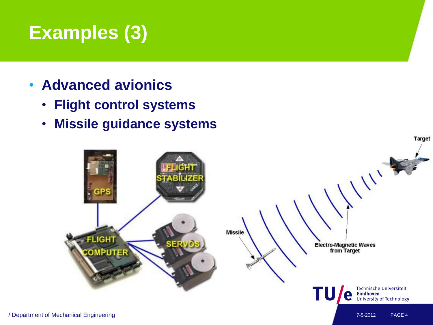## **Examples (3)**

- **Advanced avionics**
	- **Flight control systems**
	- **Missile guidance systems**

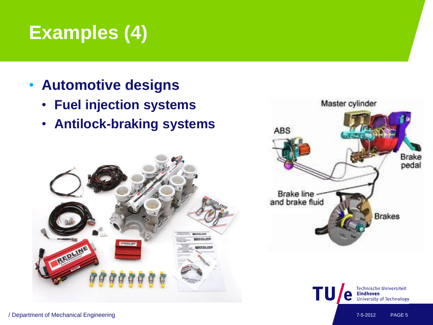# **Examples (4)**

- **Automotive designs**
	- **Fuel injection systems**
	- **Antilock-braking systems**







/ Department of Mechanical Engineering 7-5-2012 PAGE 5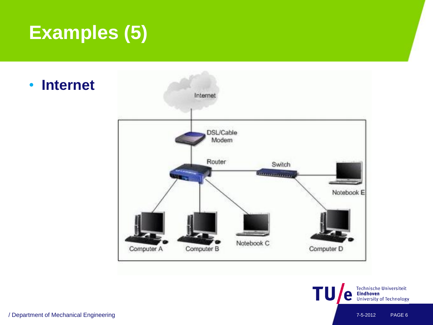# **Examples (5)**

• **Internet**





/ Department of Mechanical Engineering 7-5-2012 PAGE 6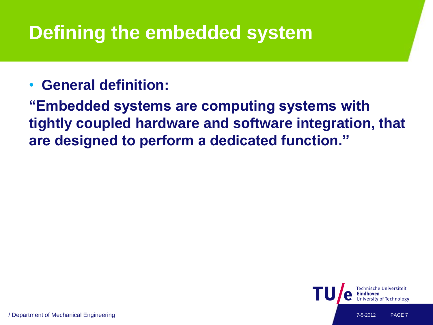### **Defining the embedded system**

### • **General definition:**

**"Embedded systems are computing systems with tightly coupled hardware and software integration, that are designed to perform a dedicated function."**

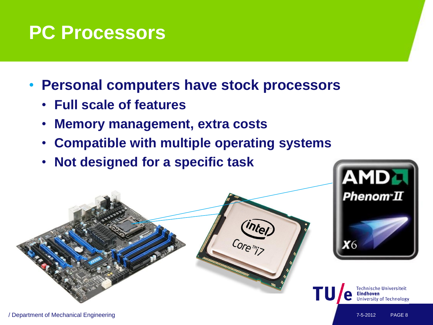### **PC Processors**

- **Personal computers have stock processors**
	- **Full scale of features**
	- **Memory management, extra costs**
	- **Compatible with multiple operating systems**
	- **Not designed for a specific task**

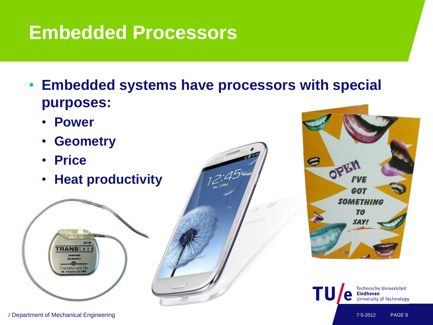### **Embedded Processors**

- **Embedded systems have processors with special purposes:**
	- **Power**
	- **Geometry**
	- **Price**
	- **Heat productivity**





**TRANS[ 8 1** 

fransaearnals ti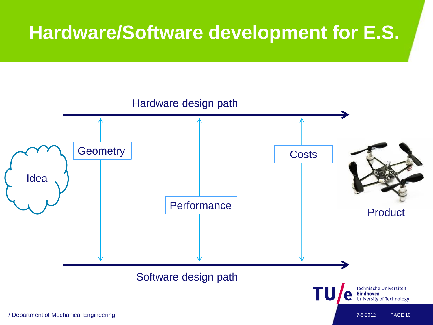### **Hardware/Software development for E.S.**

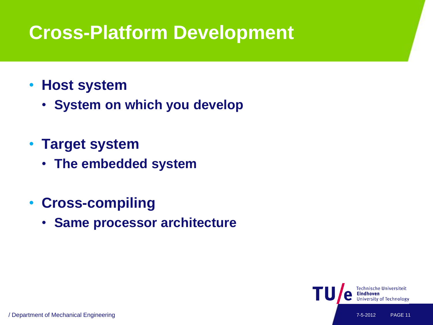### **Cross-Platform Development**

- **Host system**
	- **System on which you develop**
- **Target system**
	- **The embedded system**
- **Cross-compiling**
	- **Same processor architecture**

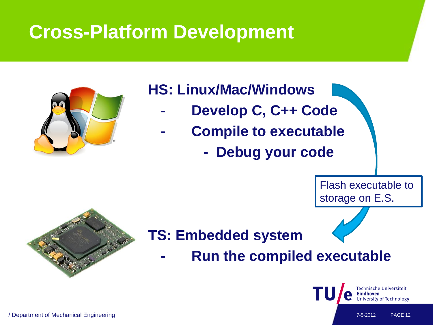### **Cross-Platform Development**



### **HS: Linux/Mac/Windows**

- **- Develop C, C++ Code**
- **- Compile to executable**
	- **Debug your code**

Flash executable to storage on E.S.



### **TS: Embedded system**

**- Run the compiled executable**

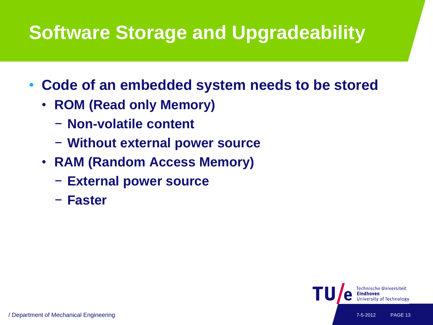# **Software Storage and Upgradeability**

- **Code of an embedded system needs to be stored**
	- **ROM (Read only Memory)**
		- − **Non-volatile content**
		- − **Without external power source**
	- **RAM (Random Access Memory)**
		- − **External power source**
		- − **Faster**

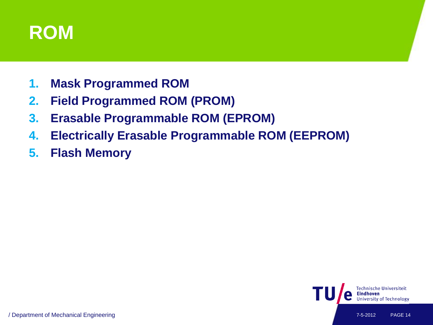

- **1. Mask Programmed ROM**
- **2. Field Programmed ROM (PROM)**
- **3. Erasable Programmable ROM (EPROM)**
- **4. Electrically Erasable Programmable ROM (EEPROM)**
- **5. Flash Memory**

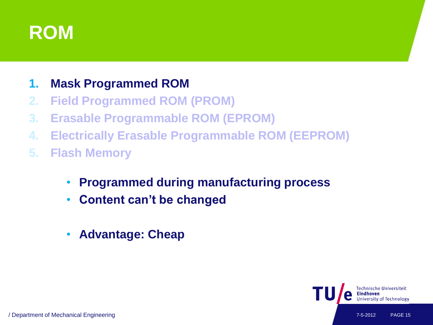

#### **1. Mask Programmed ROM**

- **2. Field Programmed ROM (PROM)**
- **3. Erasable Programmable ROM (EPROM)**
- **4. Electrically Erasable Programmable ROM (EEPROM)**
- **5. Flash Memory**
	- **Programmed during manufacturing process**
	- **Content can't be changed**
	- **Advantage: Cheap**

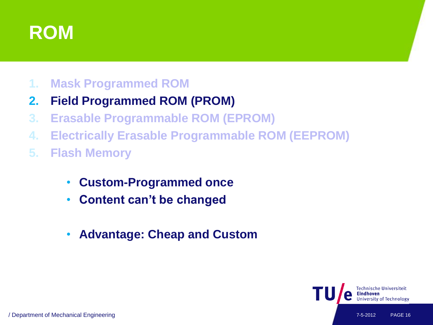

#### **1. Mask Programmed ROM**

#### **2. Field Programmed ROM (PROM)**

- **3. Erasable Programmable ROM (EPROM)**
- **4. Electrically Erasable Programmable ROM (EEPROM)**
- **5. Flash Memory**
	- **Custom-Programmed once**
	- **Content can't be changed**
	- **Advantage: Cheap and Custom**

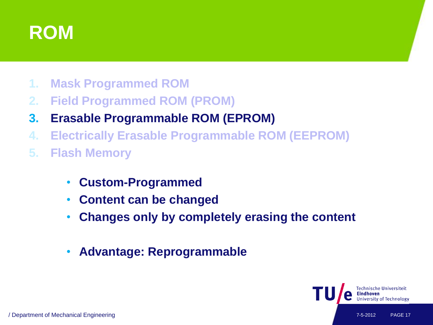

- **1. Mask Programmed ROM**
- **2. Field Programmed ROM (PROM)**
- **3. Erasable Programmable ROM (EPROM)**
- **4. Electrically Erasable Programmable ROM (EEPROM)**
- **5. Flash Memory**
	- **Custom-Programmed**
	- **Content can be changed**
	- **Changes only by completely erasing the content**
	- **Advantage: Reprogrammable**

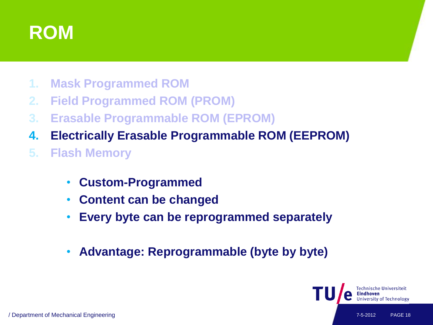

- **1. Mask Programmed ROM**
- **2. Field Programmed ROM (PROM)**
- **3. Erasable Programmable ROM (EPROM)**
- **4. Electrically Erasable Programmable ROM (EEPROM)**
- **5. Flash Memory**
	- **Custom-Programmed**
	- **Content can be changed**
	- **Every byte can be reprogrammed separately**
	- **Advantage: Reprogrammable (byte by byte)**

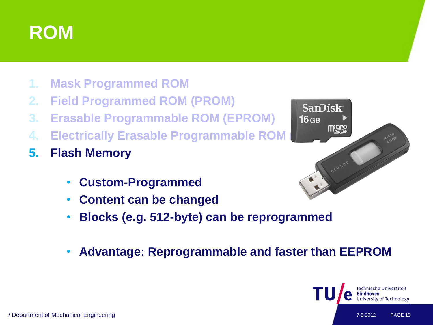

- **1. Mask Programmed ROM**
- **2. Field Programmed ROM (PROM)**
- **3. Erasable Programmable ROM (EPROM)**
- **4. Electrically Erasable Programmable ROM**
- **5. Flash Memory**
	- **Custom-Programmed**
	- **Content can be changed**
	- **Blocks (e.g. 512-byte) can be reprogrammed**
	- **Advantage: Reprogrammable and faster than EEPROM**



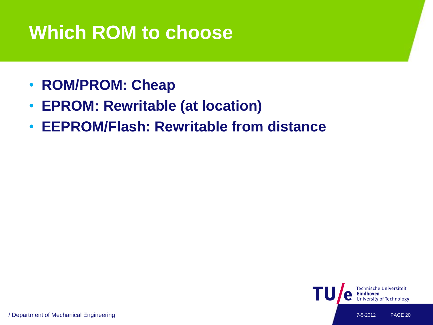### **Which ROM to choose**

- **ROM/PROM: Cheap**
- **EPROM: Rewritable (at location)**
- **EEPROM/Flash: Rewritable from distance**

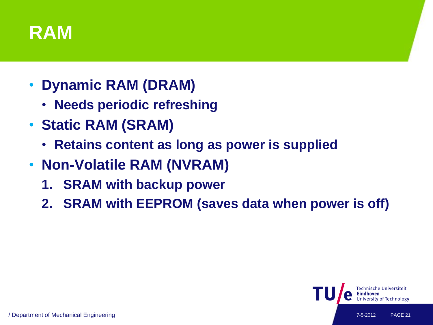### **RAM**

- **Dynamic RAM (DRAM)**
	- **Needs periodic refreshing**
- **Static RAM (SRAM)**
	- **Retains content as long as power is supplied**
- **Non-Volatile RAM (NVRAM)**
	- **1. SRAM with backup power**
	- **2. SRAM with EEPROM (saves data when power is off)**

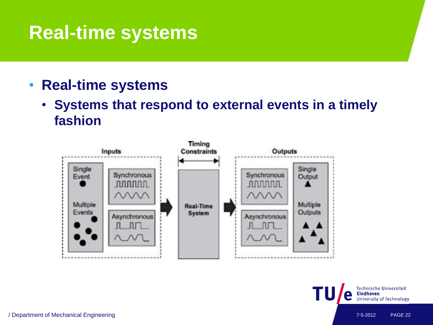- **Real-time systems**
	- **Systems that respond to external events in a timely fashion**



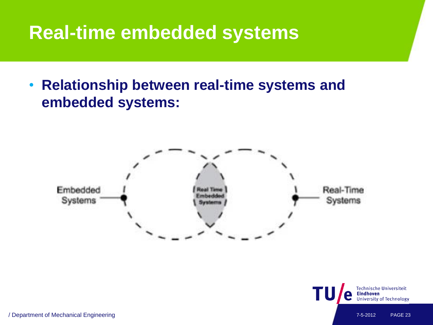### **Real-time embedded systems**

• **Relationship between real-time systems and embedded systems:**



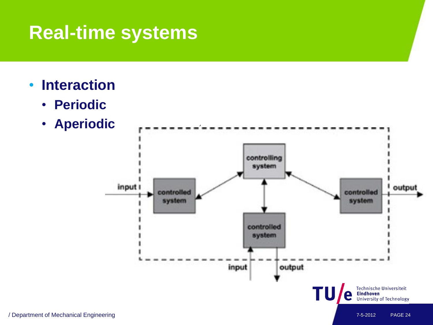- **Interaction**
	- **Periodic**
	- **Aperiodic**

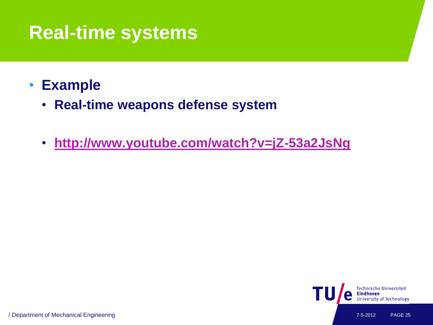### • **Example**

- **Real-time weapons defense system**
- **<http://www.youtube.com/watch?v=jZ-53a2JsNg>**



/ Department of Mechanical Engineering 7-5-2012 PAGE 25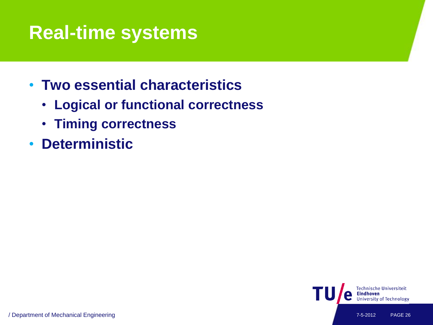- **Two essential characteristics**
	- **Logical or functional correctness**
	- **Timing correctness**
- **Deterministic**

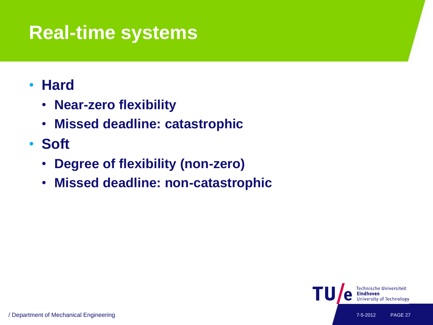### • **Hard**

- **Near-zero flexibility**
- **Missed deadline: catastrophic**
- **Soft**
	- **Degree of flexibility (non-zero)**
	- **Missed deadline: non-catastrophic**

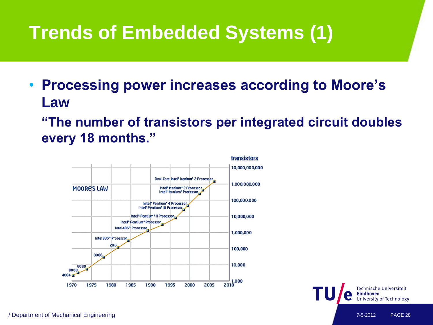# **Trends of Embedded Systems (1)**

- **Processing power increases according to Moore's Law**
	- **"The number of transistors per integrated circuit doubles every 18 months."**

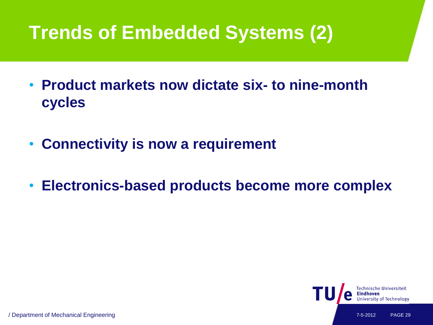# **Trends of Embedded Systems (2)**

- **Product markets now dictate six- to nine-month cycles**
- **Connectivity is now a requirement**
- **Electronics-based products become more complex**

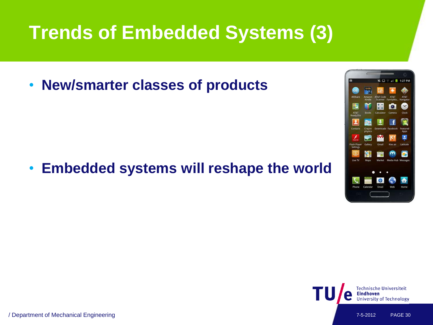## **Trends of Embedded Systems (3)**

• **New/smarter classes of products**

• **Embedded systems will reshape the world**



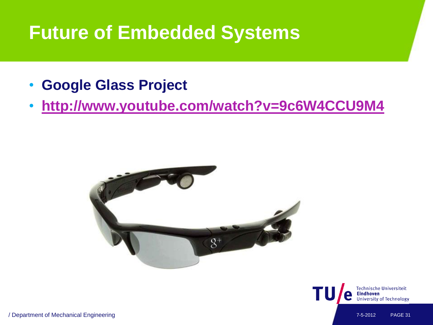### **Future of Embedded Systems**

- **Google Glass Project**
- **<http://www.youtube.com/watch?v=9c6W4CCU9M4>**





/ Department of Mechanical Engineering 7-5-2012 PAGE 31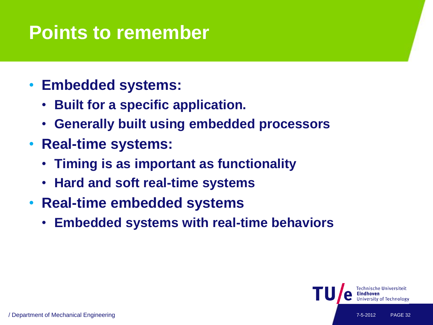### **Points to remember**

- **Embedded systems:**
	- **Built for a specific application.**
	- **Generally built using embedded processors**
- **Real-time systems:**
	- **Timing is as important as functionality**
	- **Hard and soft real-time systems**
- **Real-time embedded systems**
	- **Embedded systems with real-time behaviors**